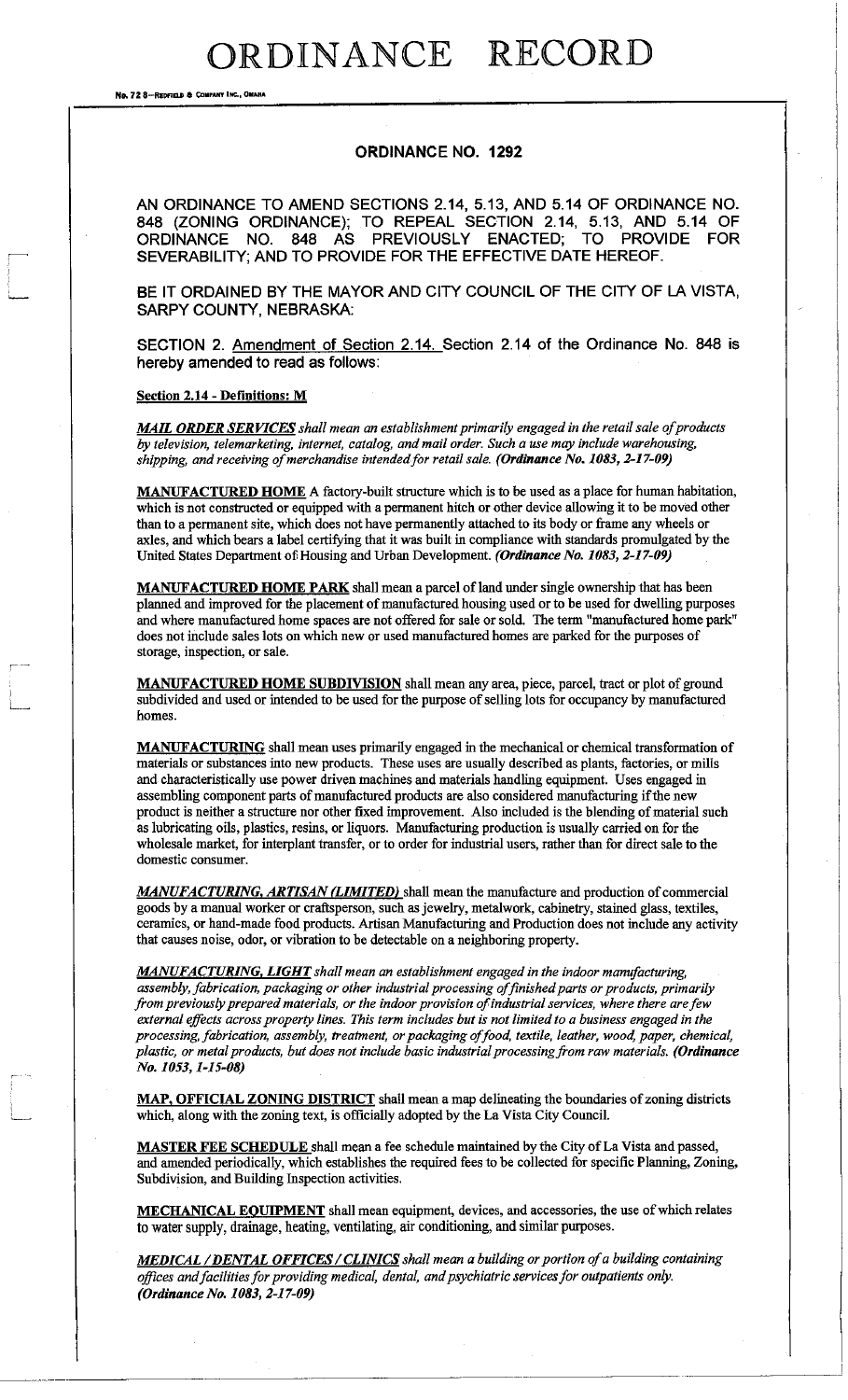No. 72 8-REOFIELD & COMPANY INC., OMAHA

#### **ORDINANCE NO. 1292**

AN ORDINANCE TO AMEND SECTIONS 2.14, 5.13, AND 5.14 OF ORDINANCE NO. 848 (ZONING ORDINANCE); TO REPEAL SECTION 2.14, 5.13, AND 5.14 OF ORDINANCE NO. 848 AS PREVIOUSLY ENACTED; TO PROVIDE FOR ORDINANCE NO. 848 AS PREVIOUSLY ENACTED; TO PROVIDE FOR SEVERABILITY; AND TO PROVIDE FOR THE EFFECTIVE DATE HEREOF.

BE IT ORDAINED BY THE MAYOR AND CITY COUNCIL OF THE CITY OF LA VISTA, SARPY COUNTY, NEBRASKA:

SECTION 2. Amendment of Section 2.14 . Section 2.14 of the Ordinance No. 848 is hereby amended to read as follows:

**Section 2.14 - Definitions: M** 

**MAIL ORDER SERVICES** shall mean an establishment primarily engaged in the retail sale of products *by television, telemarketing, internet, catalog, and mail order. Such a use may include warehousing,*  shipping, and receiving of merchandise intended for retail sale. (Ordinance No. 1083, 2-17-09)

**MANUFACTURED HOME** A factory-built structure which is to be used as a place for human habitation, which is not constructed or equipped with a permanent hitch or other device allowing it to be moved other than to a permanent site, which does not have permanently attached to its body or frame any wheels or axles, and which bears a label certifying that it was built in compliance with standards promulgated by the United States Department of Housing and Urban Development. *(Ordinance No. 1083,2-17-09)* 

MANUFACTURED HOME PARK shall mean a parcel of land under single ownership that has been planned and improved for the placement of manufactured housing used or to be used for dwelling purposes and where manufactured home spaces are not offered for sale or sold. The term "manufactured home park" does not include sales lots on which new or used manufactured homes are parked for the purposes of storage, inspection, or sale.

MANUFACTURED HOME SUBDIVISION shall mean any area, piece, parcel, tract or plot of ground subdivided and used or intended to be used for the purpose of selling lots for occupancy by manufactured homes.

**MANUFACTURING** shall mean uses primarily engaged in the mechanical or chemical transformation of materials or substances into new products. These uses are usually described as plants, factories, or mills and characteristically use power driven machines and materials handling equipment. Uses engaged in assembling component parts of manufactured products are also considered manufacturing if the new product is neither a structure nor other fixed improvement. Also included is the blending of material such as lubricating oils, plastics, resins, or liquors. Manufacturing production is usually carried on for the wholesale market, for interplant transfer, or to order for industrial users, rather than for direct sale to the domestic consumer.

*MANUFACTURING, ARTISAN (LIMITED)* shall mean the manufacture and production of commercial goods by a manual worker or craftsperson, such as jewelry, metalwork, cabinetry, stained glass, textiles, ceramics, or hand-made food products. Artisan Manufacturing and Production does not include any activity that causes noise, odor, or vibration to be detectable on a neighboring property.

*MANUFACTURING, LIGHT shall mean an establishment engaged in the indoor manufacturing, assembly, fabrication, packaging or other industrial processing offinished parts or products, primarily from previously prepared materials, or the indoor provision of industrial services, where there are few external effects across property lines. This term includes but is not limited to a business engaged in the processing, fabrication, assembly, treatment, or packaging of food, textile, leather, wood, paper, chemical, plastic, or metal products, but does not include basic industrial processing from raw materials. (Ordinance No. 1053,1-15-08)* 

**MAP, OFFICIAL ZONING DISTRICT** shall mean a map delineating the boundaries of zoning districts which, along with the zoning text, is officially adopted by the La Vista City Council.

MASTER FEE SCHEDULE shall mean a fee schedule maintained by the City of La Vista and passed, and amended periodically, which establishes the required fees to be collected for specific Planning, Zoning, Subdivision, and Building Inspection activities.

**MECHANICAL EQUIPMENT** shall mean equipment, devices, and accessories, the use of which relates to water supply, drainage, heating, ventilating, air conditioning, and similar purposes.

*MFD ICA1 / DENTAL OFFICES/CLINIC S shall mean a building or portion of a building containing offices and facilities for providing medical, dental, and psychiatric services for outpatients only. (Ordinance No. 1083, 2-17-09)*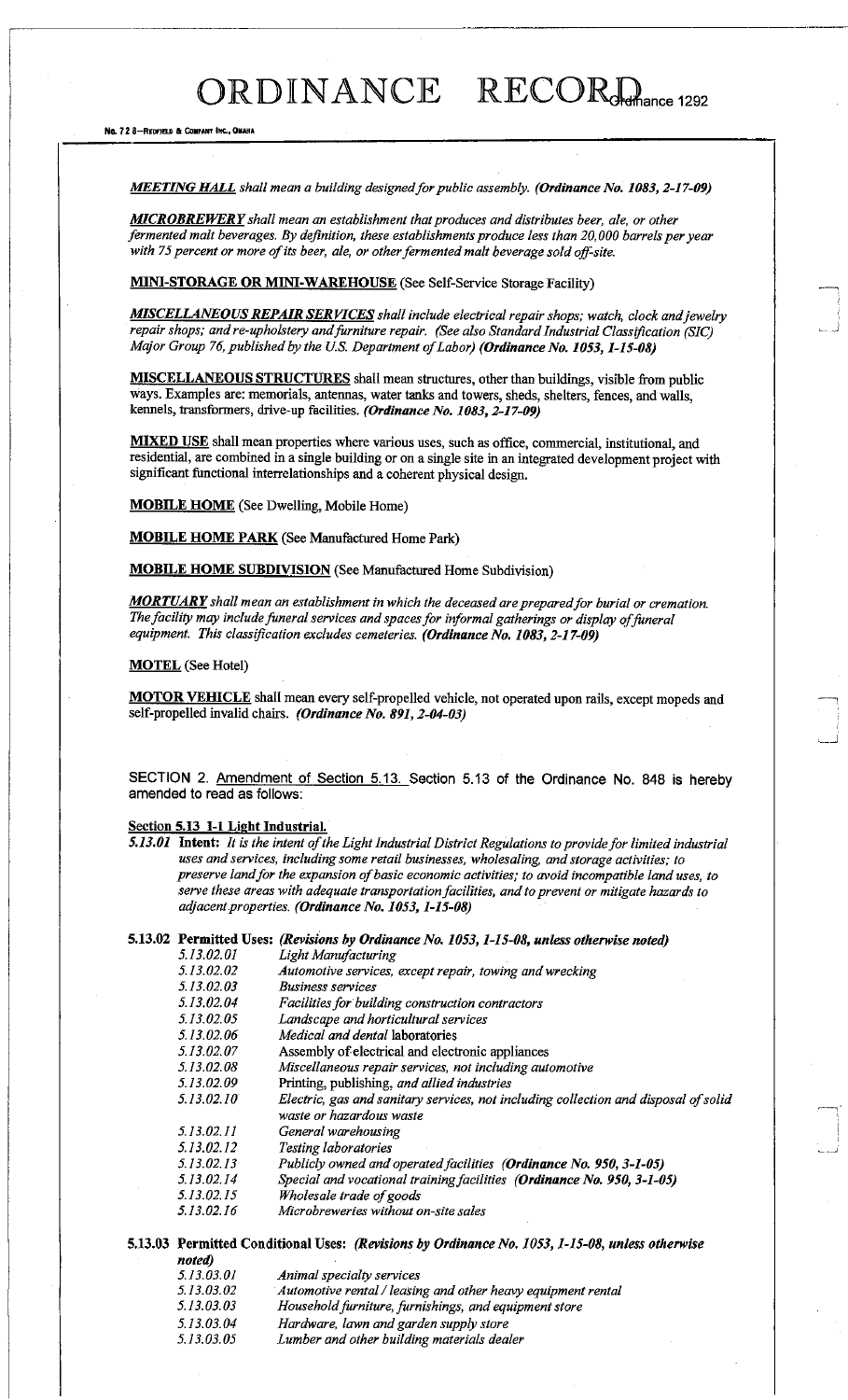*MEETING HAL L shall mean a building designed for public assembly. (Ordinance No. 1083, 2-17-09)* 

*MICROBREWER Y shall mean an establishment that produces and distributes beer, ale, or other fermented malt beverages. By definition, these establishments produce less than 20,000 barrels per year with 75 percent or more of its beer, ale, or other fermented malt beverage sold off-site.* 

MINI-STORAGE OR MINI-WAREHOUSE (See Self-Service Storage Facility)

*MISCELLANEOUS REPAIR SERVICES* shall include electrical repair shops; watch, clock and jewelry *repair shops; and re-upholstery and furniture repair. (See also Standard Industrial Classification (SIC) Major Group 76, published by the U.S. Department of Labor) (Ordinance No. 1053,1-15-08)* 

**MISCELLANEOUS STRUCTURES** shall mean structures, other than buildings, visible from public ways. Examples are: memorials, antennas, water tanks and towers, sheds, shelters, fences, and walls, kennels, transformers, drive-up facilities. *(Ordinance No. 1083, 2-17-09)* 

MIXED USE shall mean properties where various uses, such as office, commercial, institutional, and residential, are combined in a single building or on a single site in an integrated development project with significant functional interrelationships and a coherent physical design.

**MOBILE HOME** (See Dwelling, Mobile Home)

MOBILE HOME PARK (See Manufactured Home Park)

**MOBILE HOME SUBDIVISION** (See Manufactured Home Subdivision)

*MORTUAR Y shall mean an establishment in which the deceased are preparedfor burial or cremation. The facility may include funeral services and spaces for informal gatherings or display of funeral*  equipment. This classification excludes cemeteries. (Ordinance No. 1083, 2-17-09)

**MOTEL** (See Hotel)

MOTOR VEHICLE shall mean every self-propelled vehicle, not operated upon rails, except mopeds and self-propelled invalid chairs. *(Ordinance No. 891, 2-04-03)* 

SECTION 2. Amendment of Section 5.13. Section 5.13 of the Ordinance No. 848 is hereby amended to read as follows:

#### **Section 5.13 1-1 Light Industrial.**

*5.13.01* **Intent:** *It is the intent of the Light Industrial District Regulations to provide for limited industrial uses and services, including some retail businesses, wholesaling, and storage activities; to preserve landfor the expansion of basic economic activities; to avoid incompatible land uses, to serve these areas with adequate transportation facilities, and to prevent or mitigate hazards to adjacent properties. (Ordinance No. 1053,1-15-08)* 

#### **5.13.02 Permitted Uses:** *(Revisions by Ordinance No. 1053,1-15-08, unless otherwise noted) 5.13.02.01 Light Manufacturing 5.13.02.02 Automotive services, except repair, towing and wrecking*

|            | Automotive services, except repair, towing and wrecking                             |
|------------|-------------------------------------------------------------------------------------|
| 5.13.02.03 | <b>Business services</b>                                                            |
| 5.13.02.04 | Facilities for building construction contractors                                    |
| 5.13.02.05 | Landscape and horticultural services                                                |
| 5.13.02.06 | <i>Medical and dental laboratories</i>                                              |
| 5.13.02.07 | Assembly of electrical and electronic appliances                                    |
| 5.13.02.08 | Miscellaneous repair services, not including automotive                             |
| 5.13.02.09 | Printing, publishing, and allied industries                                         |
| 5.13.02.10 | Electric, gas and sanitary services, not including collection and disposal of solid |
|            | waste or hazardous waste                                                            |
| 5.13.02.11 | General warehousing                                                                 |
| 5.13.02.12 | Testing laboratories                                                                |
| 5.13.02.13 | Publicly owned and operated facilities (Ordinance No. 950, 3-1-05)                  |
| 5.13.02.14 | Special and vocational training facilities (Ordinance No. 950, 3-1-05)              |
| 5.13.02.15 | Wholesale trade of goods                                                            |
| 5.13.02.16 | Microbreweries without on-site sales                                                |
|            |                                                                                     |

**5.13.03 Permitted Conditional Uses:** *(Revisions by Ordinance No. 1053,1-15-08, unless otherwise noted)* 

- *5.13.03.01 Animal specialty services*
- *5.13.03.02 Automotive rental/leasing and other heavy equipment rental*  5.13.03.03 Household furniture, furnishings, and equipment store *5.13.03.04 Hardware, lawn and garden supply store*
- *5.13.03.05 Lumber and other building materials dealer*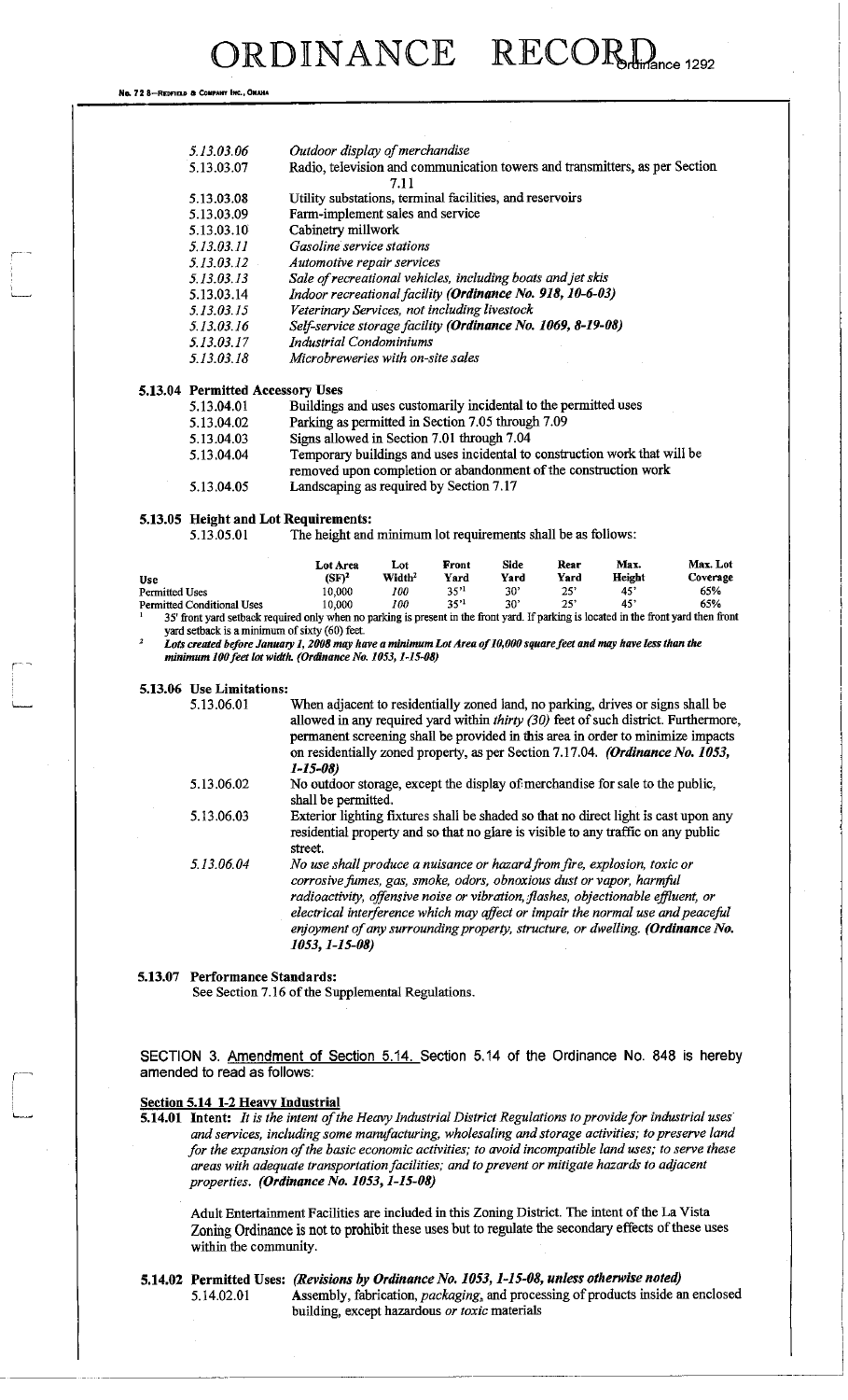No. 728-REDFIELD & COMPA

| 5.13.03.06                           |                                                                                                                                                                        | Outdoor display of merchandise                                                                                                                                                |                           |              |                         |             |               |                 |
|--------------------------------------|------------------------------------------------------------------------------------------------------------------------------------------------------------------------|-------------------------------------------------------------------------------------------------------------------------------------------------------------------------------|---------------------------|--------------|-------------------------|-------------|---------------|-----------------|
| 5.13.03.07                           |                                                                                                                                                                        | Radio, television and communication towers and transmitters, as per Section                                                                                                   | 7.11                      |              |                         |             |               |                 |
| 5.13.03.08                           |                                                                                                                                                                        | Utility substations, terminal facilities, and reservoirs                                                                                                                      |                           |              |                         |             |               |                 |
| 5.13.03.09                           |                                                                                                                                                                        | Farm-implement sales and service                                                                                                                                              |                           |              |                         |             |               |                 |
| 5.13.03.10                           |                                                                                                                                                                        | Cabinetry millwork                                                                                                                                                            |                           |              |                         |             |               |                 |
| 5.13.03.11                           |                                                                                                                                                                        | Gasoline service stations                                                                                                                                                     |                           |              |                         |             |               |                 |
| 5.13.03.12                           |                                                                                                                                                                        | Automotive repair services                                                                                                                                                    |                           |              |                         |             |               |                 |
| 5.13.03.13                           |                                                                                                                                                                        | Sale of recreational vehicles, including boats and jet skis                                                                                                                   |                           |              |                         |             |               |                 |
| 5.13.03.14                           |                                                                                                                                                                        | Indoor recreational facility (Ordinance No. 918, 10-6-03)                                                                                                                     |                           |              |                         |             |               |                 |
| 5.13.03.15                           |                                                                                                                                                                        | Veterinary Services, not including livestock                                                                                                                                  |                           |              |                         |             |               |                 |
| 5.13.03.16                           |                                                                                                                                                                        | Self-service storage facility (Ordinance No. 1069, 8-19-08)                                                                                                                   |                           |              |                         |             |               |                 |
| 5.13.03.17                           |                                                                                                                                                                        | <b>Industrial Condominiums</b>                                                                                                                                                |                           |              |                         |             |               |                 |
| 5.13.03.18                           |                                                                                                                                                                        | Microbreweries with on-site sales                                                                                                                                             |                           |              |                         |             |               |                 |
| 5.13.04 Permitted Accessory Uses     |                                                                                                                                                                        |                                                                                                                                                                               |                           |              |                         |             |               |                 |
| 5.13.04.01                           |                                                                                                                                                                        | Buildings and uses customarily incidental to the permitted uses                                                                                                               |                           |              |                         |             |               |                 |
| 5.13.04.02                           |                                                                                                                                                                        | Parking as permitted in Section 7.05 through 7.09                                                                                                                             |                           |              |                         |             |               |                 |
| 5.13.04.03                           |                                                                                                                                                                        | Signs allowed in Section 7.01 through 7.04                                                                                                                                    |                           |              |                         |             |               |                 |
| 5.13.04.04                           |                                                                                                                                                                        | Temporary buildings and uses incidental to construction work that will be                                                                                                     |                           |              |                         |             |               |                 |
|                                      |                                                                                                                                                                        | removed upon completion or abandonment of the construction work                                                                                                               |                           |              |                         |             |               |                 |
| 5.13.04.05                           |                                                                                                                                                                        | Landscaping as required by Section 7.17                                                                                                                                       |                           |              |                         |             |               |                 |
|                                      |                                                                                                                                                                        |                                                                                                                                                                               |                           |              |                         |             |               |                 |
| 5.13.05 Height and Lot Requirements: |                                                                                                                                                                        |                                                                                                                                                                               |                           |              |                         |             |               |                 |
| 5.13.05.01                           |                                                                                                                                                                        | The height and minimum lot requirements shall be as follows:                                                                                                                  |                           |              |                         |             |               |                 |
|                                      |                                                                                                                                                                        | Lot Area                                                                                                                                                                      | Lot                       | Front        | Side                    | Rear        | Max.          | Max. Lot        |
| Use<br><b>Permitted Uses</b>         |                                                                                                                                                                        | $(SF)^2$<br>10,000                                                                                                                                                            | Width <sup>2</sup><br>100 | Yard<br>35'' | Yard<br>30 <sup>2</sup> | Yard<br>25' | Height<br>45' | Coverage<br>65% |
| <b>Permitted Conditional Uses</b>    |                                                                                                                                                                        | 10,000                                                                                                                                                                        | 100                       | 35''         | 30 <sup>2</sup>         | 25"         | 45'           | 65%             |
|                                      |                                                                                                                                                                        | 35' front yard setback required only when no parking is present in the front yard. If parking is located in the front yard then front                                         |                           |              |                         |             |               |                 |
|                                      |                                                                                                                                                                        | yard setback is a minimum of sixty (60) feet.                                                                                                                                 |                           |              |                         |             |               |                 |
| $\pmb{z}$                            |                                                                                                                                                                        | Lots created before January 1, 2008 may have a minimum Lot Area of 10,000 square feet and may have less than the<br>minimum 100 feet lot width. (Ordinance No. 1053, 1-15-08) |                           |              |                         |             |               |                 |
|                                      |                                                                                                                                                                        |                                                                                                                                                                               |                           |              |                         |             |               |                 |
| 5.13.06 Use Limitations:             |                                                                                                                                                                        |                                                                                                                                                                               |                           |              |                         |             |               |                 |
| 5.13.06.01                           |                                                                                                                                                                        | When adjacent to residentially zoned land, no parking, drives or signs shall be                                                                                               |                           |              |                         |             |               |                 |
|                                      | allowed in any required yard within thirty (30) feet of such district. Furthermore,<br>permanent screening shall be provided in this area in order to minimize impacts |                                                                                                                                                                               |                           |              |                         |             |               |                 |
|                                      |                                                                                                                                                                        |                                                                                                                                                                               |                           |              |                         |             |               |                 |
|                                      |                                                                                                                                                                        | on residentially zoned property, as per Section 7.17.04. (Ordinance No. 1053,                                                                                                 |                           |              |                         |             |               |                 |
|                                      |                                                                                                                                                                        | $1 - 15 - 08$                                                                                                                                                                 |                           |              |                         |             |               |                 |
| 5.13.06.02                           |                                                                                                                                                                        | No outdoor storage, except the display of merchandise for sale to the public,                                                                                                 |                           |              |                         |             |               |                 |
|                                      |                                                                                                                                                                        | shall be permitted.                                                                                                                                                           |                           |              |                         |             |               |                 |

| 5.13.06.03 | Exterior lighting fixtures shall be shaded so that no direct light is cast upon any |
|------------|-------------------------------------------------------------------------------------|
|            | residential property and so that no glare is visible to any traffic on any public   |
|            | street.                                                                             |
|            |                                                                                     |

*5.13.06.04 No use shall produce a nuisance or hazardfrom fire, explosion, toxic or corrosive fumes, gas, smoke, odors, obnoxious dust or vapor, harmful radioactivity, offensive noise or vibration, flashes, objectionable effluent, or electrical interference which may affect or impair the normal use and peaceful enjoyment of any surrounding property, structure, or dwelling. (Ordinance No. 1053,1-15-08)* 

#### **5.13.07 Performance Standards:**

See Section 7.16 of the Supplemental Regulations.

SECTION 3. Amendment of Section 5.14. Section 5.14 of the Ordinance No. 848 is hereby amended to read as follows:

#### **Section 5.14 1-2 Heavy Industrial**

**5.14.01 Intent:** *It is the intent of the Heavy Industrial District Regulations to provide for industrial uses and services, including some manufacturing, wholesaling and storage activities; to preserve land for the expansion of the basic economic activities; to avoid incompatible land uses; to serve these areas with adequate transportation facilities; and to prevent or mitigate hazards to adjacent properties. (Ordinance No. 1053,1-15-08)* 

Adult Entertainment Facilities are included in this Zoning District. The intent of the La Vista Zoning Ordinance is not to prohibit these uses but to regulate the secondary effects of these uses within the community.

#### **5.14.02 Permitted Uses:** *(Revisions by Ordinance No. 1053,1-15-08, unless otherwise noted)*  5.14.02.01 Assembly, fabrication, *packaging* <sup>a</sup>and processing of products inside an enclosed building, except hazardous *or toxic* materials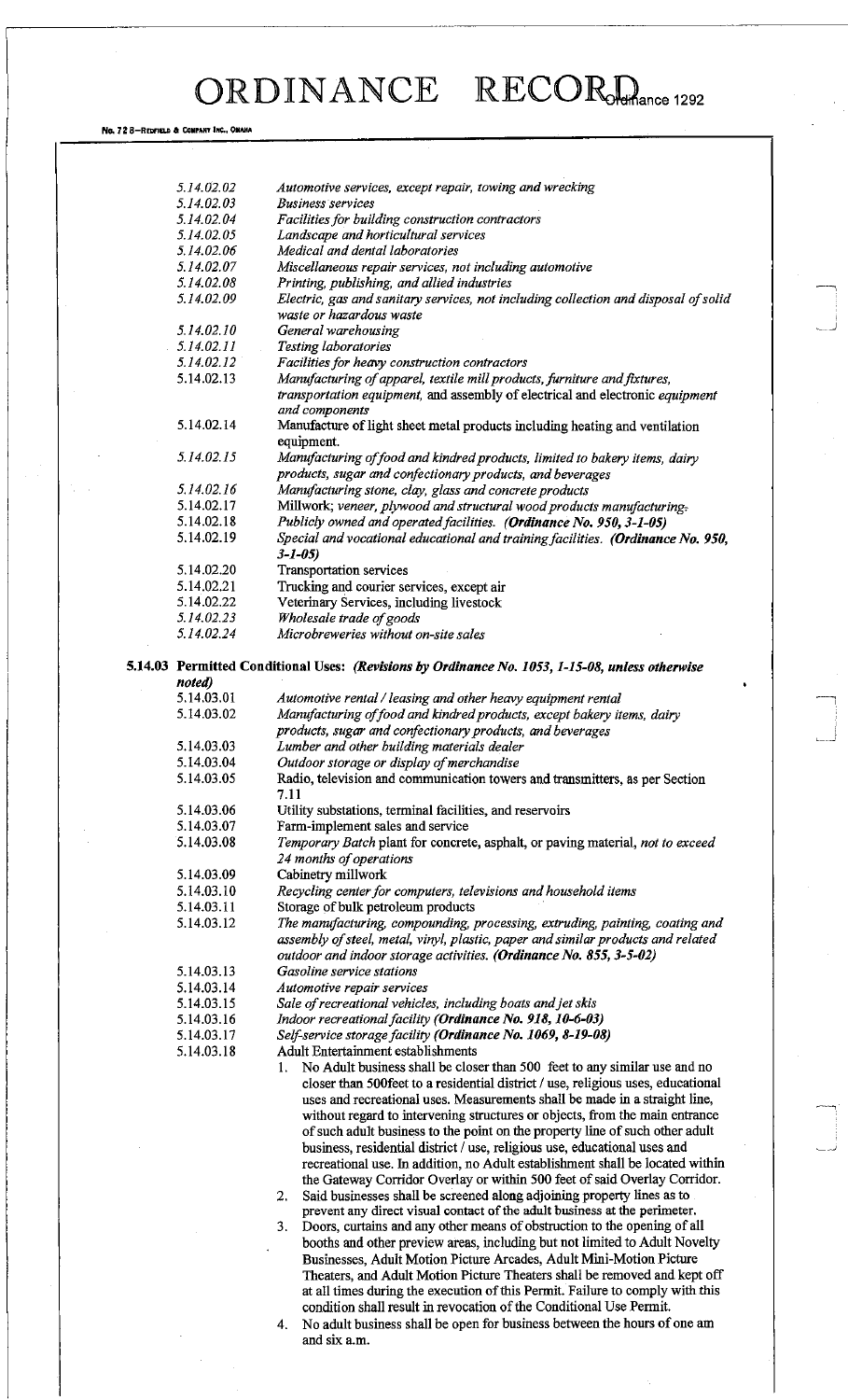# **ORDINANCE RECORGANCE**

No. 72 8-REDFIELD & COMPANY INC., OMAHA

| 5.14.02.02               | Automotive services, except repair, towing and wrecking                                                                                                                                                                                |
|--------------------------|----------------------------------------------------------------------------------------------------------------------------------------------------------------------------------------------------------------------------------------|
| 5.14.02.03               | <b>Business services</b>                                                                                                                                                                                                               |
| 5.14.02.04               | Facilities for building construction contractors                                                                                                                                                                                       |
| 5.14.02.05               | Landscape and horticultural services                                                                                                                                                                                                   |
| 5.14.02.06               | Medical and dental laboratories                                                                                                                                                                                                        |
| 5.14.02.07               | Miscellaneous repair services, not including automotive                                                                                                                                                                                |
| 5.14.02.08               | Printing, publishing, and allied industries                                                                                                                                                                                            |
| 5.14.02.09               | Electric, gas and sanitary services, not including collection and disposal of solid                                                                                                                                                    |
|                          | waste or hazardous waste                                                                                                                                                                                                               |
| 5.14.02.10               | General warehousing                                                                                                                                                                                                                    |
| 5.14.02.11<br>5.14.02.12 | Testing laboratories                                                                                                                                                                                                                   |
| 5.14.02.13               | Facilities for heavy construction contractors<br>Manufacturing of apparel, textile mill products, furniture and fixtures,                                                                                                              |
|                          | transportation equipment, and assembly of electrical and electronic equipment<br>and components                                                                                                                                        |
| 5.14.02.14               | Manufacture of light sheet metal products including heating and ventilation<br>equipment.                                                                                                                                              |
| 5.14.02.15               | Manufacturing of food and kindred products, limited to bakery items, dairy<br>products, sugar and confectionary products, and beverages                                                                                                |
| 5.14.02.16               | Manufacturing stone, clay, glass and concrete products                                                                                                                                                                                 |
| 5.14.02.17               | Millwork; veneer, plywood and structural wood products manufacturing-                                                                                                                                                                  |
| 5.14.02.18               | Publicly owned and operated facilities. (Ordinance No. 950, 3-1-05)                                                                                                                                                                    |
| 5.14.02.19               | Special and vocational educational and training facilities. (Ordinance No. 950,<br>$3 - 1 - 05$                                                                                                                                        |
| 5.14.02.20               | <b>Transportation services</b>                                                                                                                                                                                                         |
| 5.14.02.21               | Trucking and courier services, except air                                                                                                                                                                                              |
| 5.14.02.22               | Veterinary Services, including livestock                                                                                                                                                                                               |
| 5.14.02.23               | Wholesale trade of goods                                                                                                                                                                                                               |
| 5.14.02.24               | Microbreweries without on-site sales                                                                                                                                                                                                   |
|                          |                                                                                                                                                                                                                                        |
| noted)                   | 5.14.03 Permitted Conditional Uses: (Revisions by Ordinance No. 1053, 1-15-08, unless otherwise                                                                                                                                        |
| 5.14.03.01               | Automotive rental / leasing and other heavy equipment rental                                                                                                                                                                           |
| 5.14.03.02               | Manufacturing of food and kindred products, except bakery items, dairy                                                                                                                                                                 |
|                          | products, sugar and confectionary products, and beverages                                                                                                                                                                              |
| 5.14.03.03               | Lumber and other building materials dealer                                                                                                                                                                                             |
| 5.14.03.04               | Outdoor storage or display of merchandise                                                                                                                                                                                              |
| 5.14.03.05               | Radio, television and communication towers and transmitters, as per Section<br>7.11                                                                                                                                                    |
| 5.14.03.06               | Utility substations, terminal facilities, and reservoirs                                                                                                                                                                               |
| 5.14.03.07               | Farm-implement sales and service                                                                                                                                                                                                       |
| 5.14.03.08               | Temporary Batch plant for concrete, asphalt, or paving material, not to exceed<br>24 months of operations                                                                                                                              |
| 5.14.03.09               | Cabinetry millwork                                                                                                                                                                                                                     |
| 5.14.03.10               | Recycling center for computers, televisions and household items                                                                                                                                                                        |
| 5.14.03.11               | Storage of bulk petroleum products                                                                                                                                                                                                     |
| 5.14.03.12               | The manufacturing, compounding, processing, extruding, painting, coating and<br>assembly of steel, metal, vinyl, plastic, paper and similar products and related<br>outdoor and indoor storage activities. (Ordinance No. 855, 3-5-02) |
| 5.14.03.13               | Gasoline service stations                                                                                                                                                                                                              |
| 5.14.03.14               | Automotive repair services                                                                                                                                                                                                             |
| 5.14.03.15               | Sale of recreational vehicles, including boats and jet skis                                                                                                                                                                            |
| 5.14.03.16               | Indoor recreational facility (Ordinance No. 918, 10-6-03)                                                                                                                                                                              |
| 5.14.03.17               | Self-service storage facility (Ordinance No. 1069, 8-19-08)                                                                                                                                                                            |
| 5.14.03.18               | <b>Adult Entertainment establishments</b>                                                                                                                                                                                              |
|                          | No Adult business shall be closer than 500 feet to any similar use and no<br>1.                                                                                                                                                        |
|                          | closer than 500feet to a residential district / use, religious uses, educational<br>uses and recreational uses. Measurements shall be made in a straight line,                                                                         |
|                          | without regard to intervening structures or objects, from the main entrance                                                                                                                                                            |
|                          | of such adult business to the point on the property line of such other adult                                                                                                                                                           |
|                          | business, residential district / use, religious use, educational uses and                                                                                                                                                              |
|                          | recreational use. In addition, no Adult establishment shall be located within                                                                                                                                                          |
|                          | the Gateway Corridor Overlay or within 500 feet of said Overlay Corridor.                                                                                                                                                              |
|                          | Said businesses shall be screened along adjoining property lines as to<br>2.                                                                                                                                                           |
|                          | prevent any direct visual contact of the adult business at the perimeter.<br>3.                                                                                                                                                        |
|                          | Doors, curtains and any other means of obstruction to the opening of all                                                                                                                                                               |
|                          | booths and other preview areas, including but not limited to Adult Novelty<br>Businesses, Adult Motion Picture Arcades, Adult Mini-Motion Picture                                                                                      |
|                          |                                                                                                                                                                                                                                        |
|                          | Theaters, and Adult Motion Picture Theaters shall be removed and kept off<br>at all times during the execution of this Permit. Failure to comply with this                                                                             |
|                          | condition shall result in revocation of the Conditional Use Permit.                                                                                                                                                                    |
|                          | No adult business shall be open for business between the hours of one am                                                                                                                                                               |
|                          | 4.<br>and six a.m.                                                                                                                                                                                                                     |
|                          |                                                                                                                                                                                                                                        |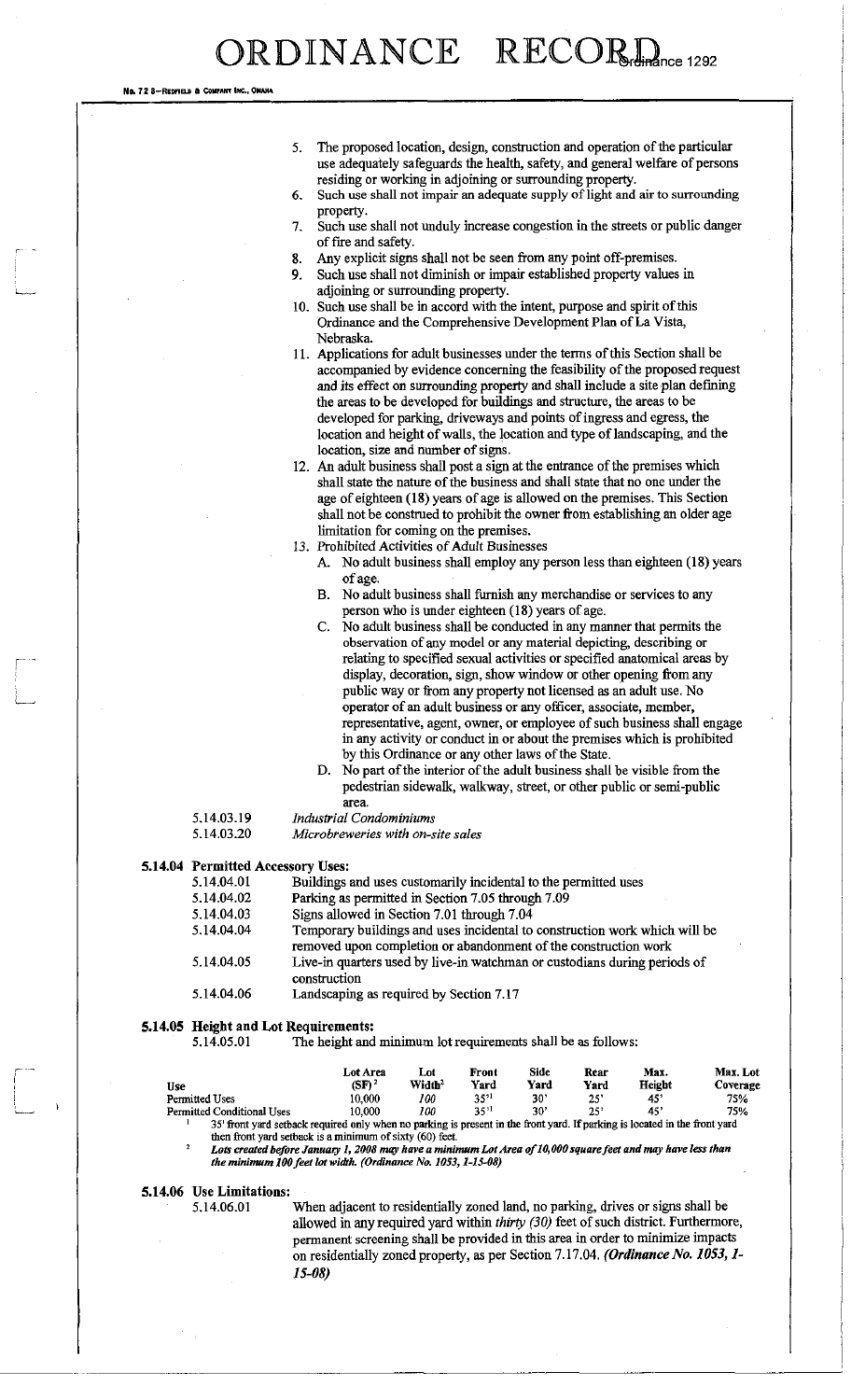No. 72 8-REDEFIELD COMPANY INC.

- 5. The proposed location, design, construction and operation of the particular use adequately safeguards the health, safety, and general welfare of persons residing or working in adjoining or surrounding property.
- 6. Such use shall not impair an adequate supply of light and air to surrounding property.
- 7. Such use shall not unduly increase congestion in the streets or public danger of fire and safety.
- 8. Any explicit signs shall not be seen from any point off-premises.
- 9. Such use shall not diminish or impair established property values in adjoining or surrounding property.
- 10. Such use shall be in accord with the intent, purpose and spirit of this Ordinance and the Comprehensive Development Plan of La Vista, Nebraska.
- 11. Applications for adult businesses under the terms of this Section shall be accompanied by evidence concerning the feasibility of the proposed request and its effect on surrounding property and shall include a site plan defining the areas to be developed for buildings and structure, the areas to be developed for parking, driveways and points of ingress and egress, the location and height of walls, the location and type of landscaping, and the location, size and number of signs.
- 12. An adult business shall post a sign at the entrance of the premises which shall state the nature of the business and shall state that no one under the age of eighteen (18) years of age is allowed on the premises. This Section shall not be construed to prohibit the owner from establishing an older age limitation for coming on the premises.
- 13. Prohibited Activities of Adult Businesses
	- A. No adult business shall employ any person less than eighteen (18) years of age.
	- B. No adult business shall furnish any merchandise or services to any person who is under eighteen (18) years of age.
	- C. No adult business shall be conducted in any manner that permits the observation of any model or any material depicting, describing or relating to specified sexual activities or specified anatomical areas by display, decoration, sign, show window or other opening from any public way or from any property not licensed as an adult use. No operator of an adult business or any officer, associate, member, representative, agent, owner, or employee of such business shall engage in any activity or conduct in or about the premises which is prohibited by this Ordinance or any other laws of the State.
	- D. No part of the interior of the adult business shall be visible from the pedestrian sidewalk, walkway, street, or other public or semi-public area.

| 5.14.03.19 | <b>Industrial Condominiums</b> |
|------------|--------------------------------|
| 5140200    | 1 Banakan mandan sulta are -   |

5.14.03.20 *Microbreweries with on-site sales* 

#### **5.14.04 Permitted Accessory Uses:**

| 5.14.04.01 | Buildings and uses customarily incidental to the permitted uses                                                                               |
|------------|-----------------------------------------------------------------------------------------------------------------------------------------------|
| 5.14.04.02 | Parking as permitted in Section 7.05 through 7.09                                                                                             |
| 5.14.04.03 | Signs allowed in Section 7.01 through 7.04                                                                                                    |
| 5.14.04.04 | Temporary buildings and uses incidental to construction work which will be<br>removed upon completion or abandonment of the construction work |
| 5.14.04.05 | Live-in quarters used by live-in watchman or custodians during periods of<br>construction                                                     |
| 5.14.04.06 | Landscaping as required by Section 7.17                                                                                                       |

#### **5.14.05 Height and Lot Requirements:**

5.14.05.01 The height and minimum lot requirements shall be as follows:

| Use                                                                                                                            | Lot Area<br>(SF) <sup>2</sup> | Lot<br>Width <sup>2</sup> | Front<br>Yard | Side<br>Yard | Rear<br>Yard | Max.<br>Height | Max. Lot<br>Coverage |
|--------------------------------------------------------------------------------------------------------------------------------|-------------------------------|---------------------------|---------------|--------------|--------------|----------------|----------------------|
| Permitted Uses                                                                                                                 | 10.000                        | 100                       | $3^{51}$      | $30^{\circ}$ | 25'          | -451           | 75%                  |
| <b>Permitted Conditional Uses</b>                                                                                              | 10.000                        | 100                       | $35^{11}$     | 30'          | 25'          | -451           | 75%                  |
| Art Constituted and only control on the constant of the control in the Constituted Warmington is interested in the Constituted |                               |                           |               |              |              |                |                      |

required only when no parking is present in the front yard. If parking is located in the front yard then front yard setback is a minimum of sixty (60) feet.

Lots created before January 1, 2008 may have a minimum Lot Area of 10,000 square feet and may have less than the minimum 100 feet lot width. (Ordinance No. 1053, 1-15-08)

### **5.14.06 Use Limitations:**

When adjacent to residentially zoned land, no parking, drives or signs shall be allowed in any required yard within *thirty (30)* feet of such district. Furthermore, permanent screening shall be provided in this area in order to minimize impacts on residentially zoned property, as per Section 7.17.04. *(Ordinance No. 1053,1- 15-08)*